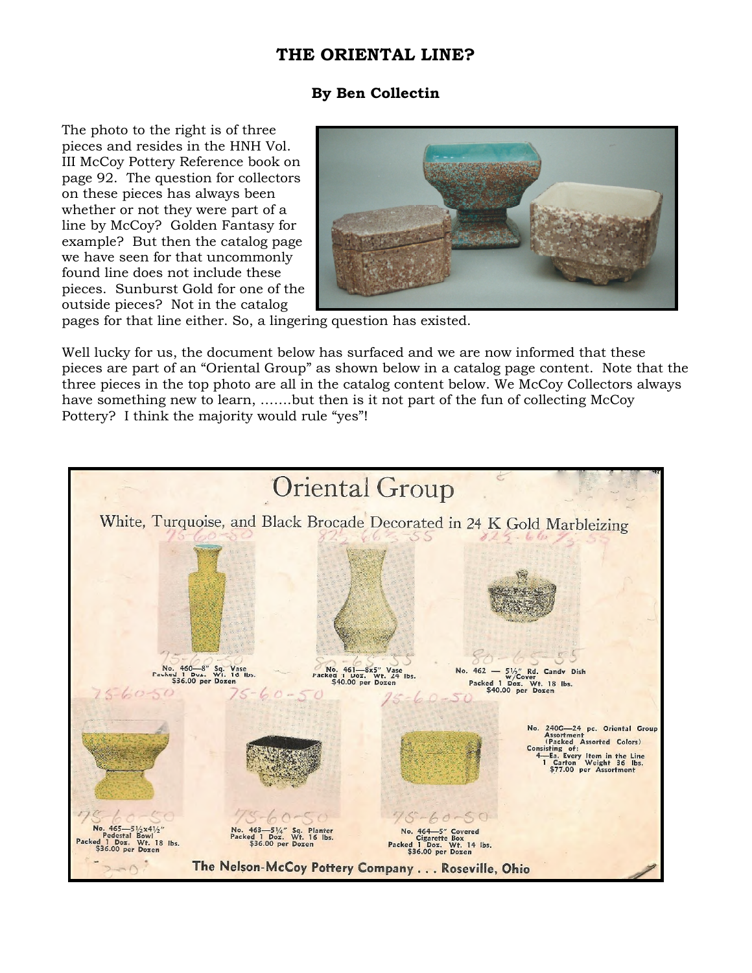## **THE ORIENTAL LINE?**

## **By Ben Collectin**

The photo to the right is of three pieces and resides in the HNH Vol. III McCoy Pottery Reference book on page 92. The question for collectors on these pieces has always been whether or not they were part of a line by McCoy? Golden Fantasy for example? But then the catalog page we have seen for that uncommonly found line does not include these pieces. Sunburst Gold for one of the outside pieces? Not in the catalog



pages for that line either. So, a lingering question has existed.

Well lucky for us, the document below has surfaced and we are now informed that these pieces are part of an "Oriental Group" as shown below in a catalog page content. Note that the three pieces in the top photo are all in the catalog content below. We McCoy Collectors always have something new to learn, …….but then is it not part of the fun of collecting McCoy Pottery? I think the majority would rule "yes"!